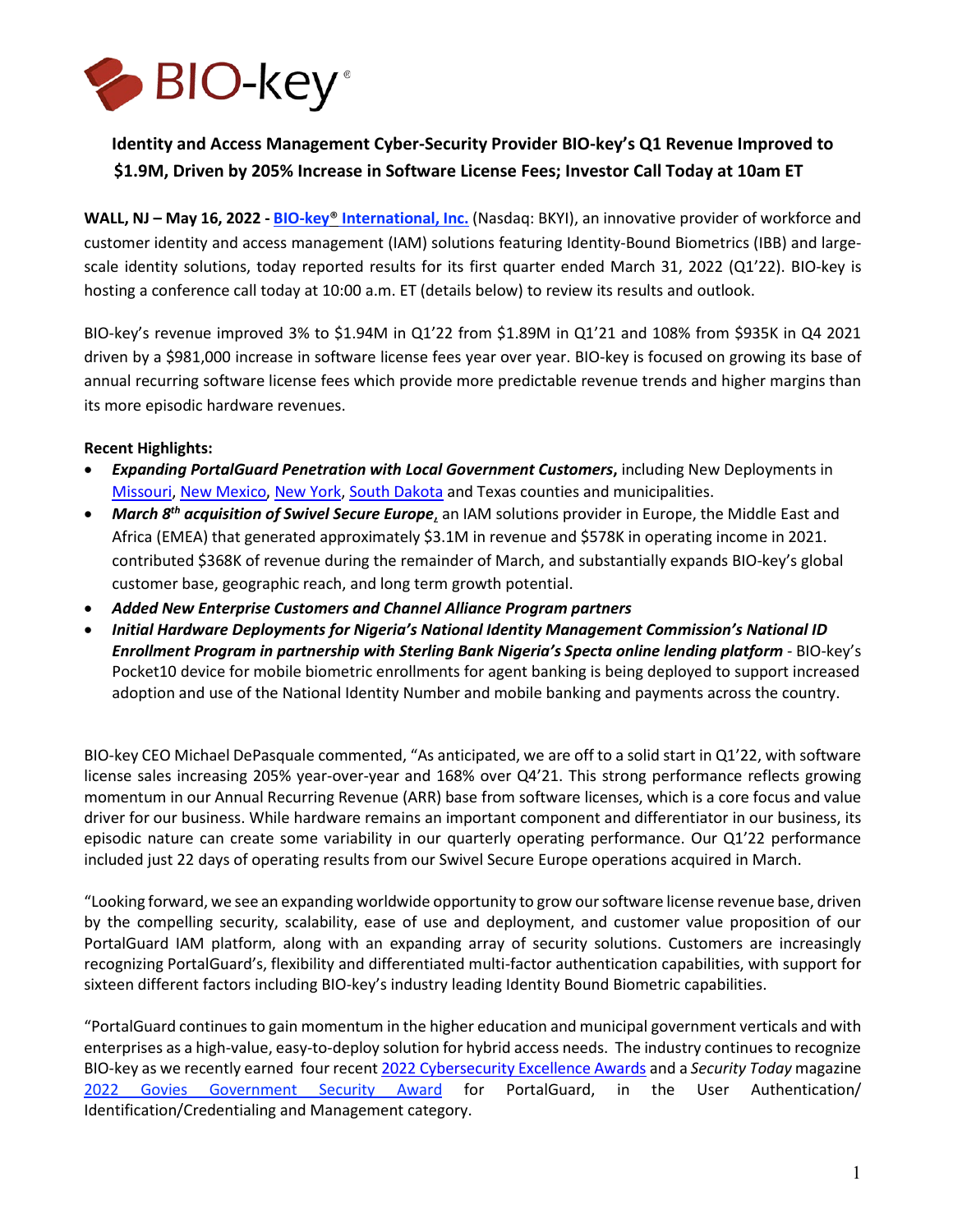

# **Identity and Access Management Cyber-Security Provider BIO-key's Q1 Revenue Improved to \$1.9M, Driven by 205% Increase in Software License Fees; Investor Call Today at 10am ET**

**WALL, NJ – May 16, 2022 - BIO-key**® **[International, Inc.](http://www.bio-key.com/)** (Nasdaq: BKYI), an innovative provider of workforce and customer identity and access management (IAM) solutions featuring Identity-Bound Biometrics (IBB) and largescale identity solutions, today reported results for its first quarter ended March 31, 2022 (Q1'22). BIO-key is hosting a conference call today at 10:00 a.m. ET (details below) to review its results and outlook.

BIO-key's revenue improved 3% to \$1.94M in Q1'22 from \$1.89M in Q1'21 and 108% from \$935K in Q4 2021 driven by a \$981,000 increase in software license fees year over year. BIO-key is focused on growing its base of annual recurring software license fees which provide more predictable revenue trends and higher margins than its more episodic hardware revenues.

# **Recent Highlights:**

- *Expanding PortalGuard Penetration with Local Government Customers***,** including New Deployments in [Missouri,](https://info.bio-key.com/hubfs/Press%20Releases/BIO-key%20Press%20Release_Audrain%20County%201-11-22.pdf) [New Mexico](https://info.bio-key.com/hubfs/Press%20Releases/BKYI%20Rio%20Arriba%20County%2002-07-22.pdf), [New York,](https://info.bio-key.com/hubfs/Press%20Releases/BIO-key%20Press%20Release_Herkimer%20County%201-5-21.pdf) [South Dakota](https://info.bio-key.com/hubfs/Press%20Releases/BIO-key%20Press%20Release_Lawrence%20County%201-18-22.pdf) and Texas counties and municipalities.
- *March 8th acquisition of Swivel Secure Europe*, an IAM solutions provider in Europe, the Middle East and Africa (EMEA) that generated approximately \$3.1M in revenue and \$578K in operating income in 2021. contributed \$368K of revenue during the remainder of March, and substantially expands BIO-key's global customer base, geographic reach, and long term growth potential.
- *Added New Enterprise Customers and Channel Alliance Program partners*
- *Initial Hardware Deployments for Nigeria's National Identity Management Commission's National ID Enrollment Program in partnership with Sterling Bank Nigeria's Specta online lending platform* - BIO-key's Pocket10 device for mobile biometric enrollments for agent banking is being deployed to support increased adoption and use of the National Identity Number and mobile banking and payments across the country.

BIO-key CEO Michael DePasquale commented, "As anticipated, we are off to a solid start in Q1'22, with software license sales increasing 205% year-over-year and 168% over Q4'21. This strong performance reflects growing momentum in our Annual Recurring Revenue (ARR) base from software licenses, which is a core focus and value driver for our business. While hardware remains an important component and differentiator in our business, its episodic nature can create some variability in our quarterly operating performance. Our Q1'22 performance included just 22 days of operating results from our Swivel Secure Europe operations acquired in March.

"Looking forward, we see an expanding worldwide opportunity to grow our software license revenue base, driven by the compelling security, scalability, ease of use and deployment, and customer value proposition of our PortalGuard IAM platform, along with an expanding array of security solutions. Customers are increasingly recognizing PortalGuard's, flexibility and differentiated multi-factor authentication capabilities, with support for sixteen different factors including BIO-key's industry leading Identity Bound Biometric capabilities.

"PortalGuard continues to gain momentum in the higher education and municipal government verticals and with enterprises as a high-value, easy-to-deploy solution for hybrid access needs. The industry continues to recognize BIO-key as we recently earned four recent [2022 Cybersecurity Excellence Awards](https://cybersecurity-excellence-awards.com/2022-cybersecurity-product-service-awards-winners/) and a *Security Today* magazine [2022 Govies Government Security Award](https://securitytoday.com/pages/govies.aspx) for PortalGuard, in the User Authentication/ Identification/Credentialing and Management category.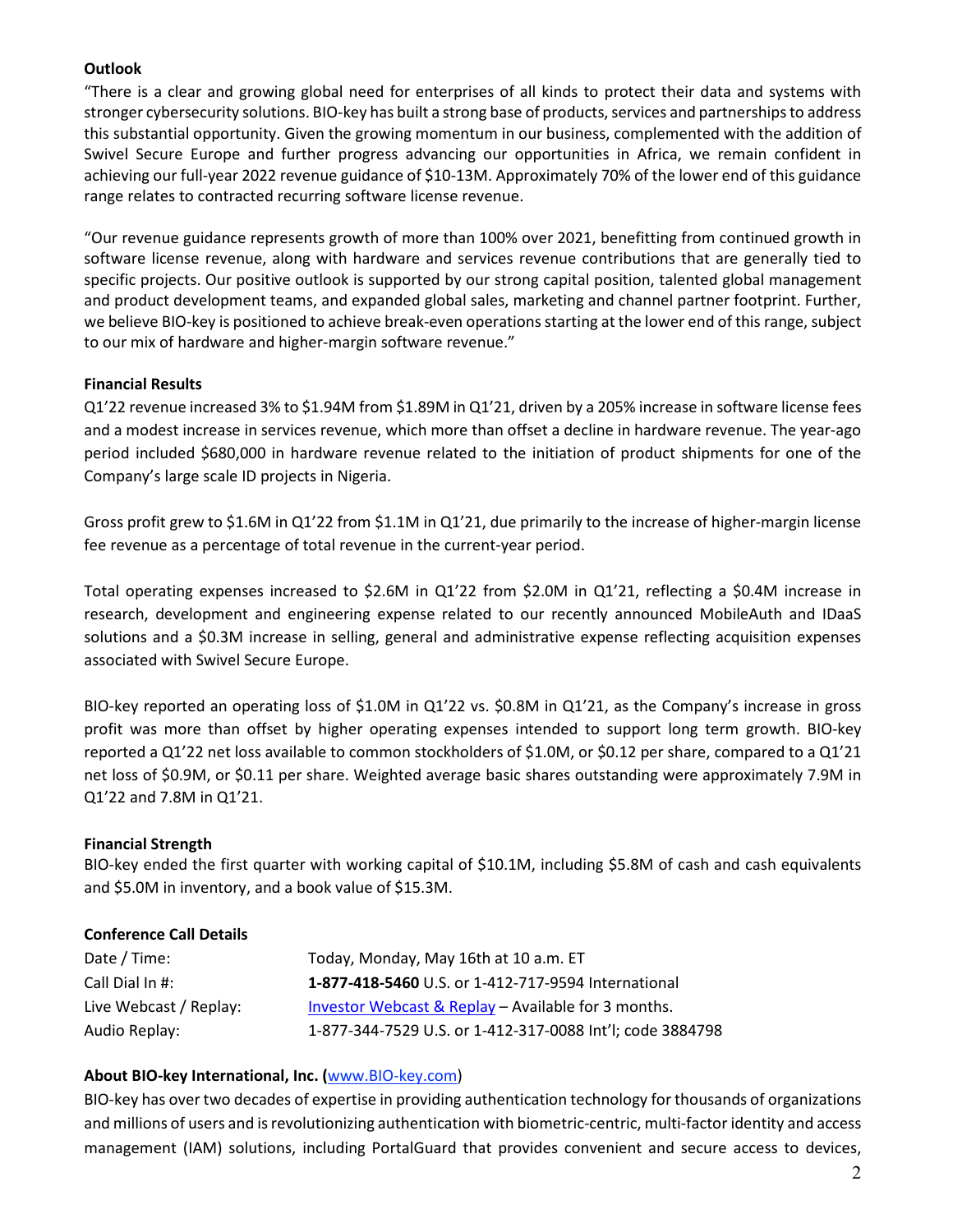# **Outlook**

"There is a clear and growing global need for enterprises of all kinds to protect their data and systems with stronger cybersecurity solutions. BIO-key has built a strong base of products, services and partnerships to address this substantial opportunity. Given the growing momentum in our business, complemented with the addition of Swivel Secure Europe and further progress advancing our opportunities in Africa, we remain confident in achieving our full-year 2022 revenue guidance of \$10-13M. Approximately 70% of the lower end of this guidance range relates to contracted recurring software license revenue.

"Our revenue guidance represents growth of more than 100% over 2021, benefitting from continued growth in software license revenue, along with hardware and services revenue contributions that are generally tied to specific projects. Our positive outlook is supported by our strong capital position, talented global management and product development teams, and expanded global sales, marketing and channel partner footprint. Further, we believe BIO-key is positioned to achieve break-even operations starting at the lower end of this range, subject to our mix of hardware and higher-margin software revenue."

# **Financial Results**

Q1'22 revenue increased 3% to \$1.94M from \$1.89M in Q1'21, driven by a 205% increase in software license fees and a modest increase in services revenue, which more than offset a decline in hardware revenue. The year-ago period included \$680,000 in hardware revenue related to the initiation of product shipments for one of the Company's large scale ID projects in Nigeria.

Gross profit grew to \$1.6M in Q1'22 from \$1.1M in Q1'21, due primarily to the increase of higher-margin license fee revenue as a percentage of total revenue in the current-year period.

Total operating expenses increased to \$2.6M in Q1'22 from \$2.0M in Q1'21, reflecting a \$0.4M increase in research, development and engineering expense related to our recently announced MobileAuth and IDaaS solutions and a \$0.3M increase in selling, general and administrative expense reflecting acquisition expenses associated with Swivel Secure Europe.

BIO-key reported an operating loss of \$1.0M in Q1'22 vs. \$0.8M in Q1'21, as the Company's increase in gross profit was more than offset by higher operating expenses intended to support long term growth. BIO-key reported a Q1'22 net loss available to common stockholders of \$1.0M, or \$0.12 per share, compared to a Q1'21 net loss of \$0.9M, or \$0.11 per share. Weighted average basic shares outstanding were approximately 7.9M in Q1'22 and 7.8M in Q1'21.

## **Financial Strength**

BIO-key ended the first quarter with working capital of \$10.1M, including \$5.8M of cash and cash equivalents and \$5.0M in inventory, and a book value of \$15.3M.

## **Conference Call Details**

| Date / Time:           | Today, Monday, May 16th at 10 a.m. ET                     |
|------------------------|-----------------------------------------------------------|
| Call Dial In #:        | 1-877-418-5460 U.S. or 1-412-717-9594 International       |
| Live Webcast / Replay: | Investor Webcast & Replay - Available for 3 months.       |
| Audio Replay:          | 1-877-344-7529 U.S. or 1-412-317-0088 Int'l; code 3884798 |

## **About BIO-key International, Inc. (**[www.BIO-key.com\)](http://www.bio-key.com/)

BIO-key has over two decades of expertise in providing authentication technology for thousands of organizations and millions of users and is revolutionizing authentication with biometric-centric, multi-factor identity and access management (IAM) solutions, including PortalGuard that provides convenient and secure access to devices,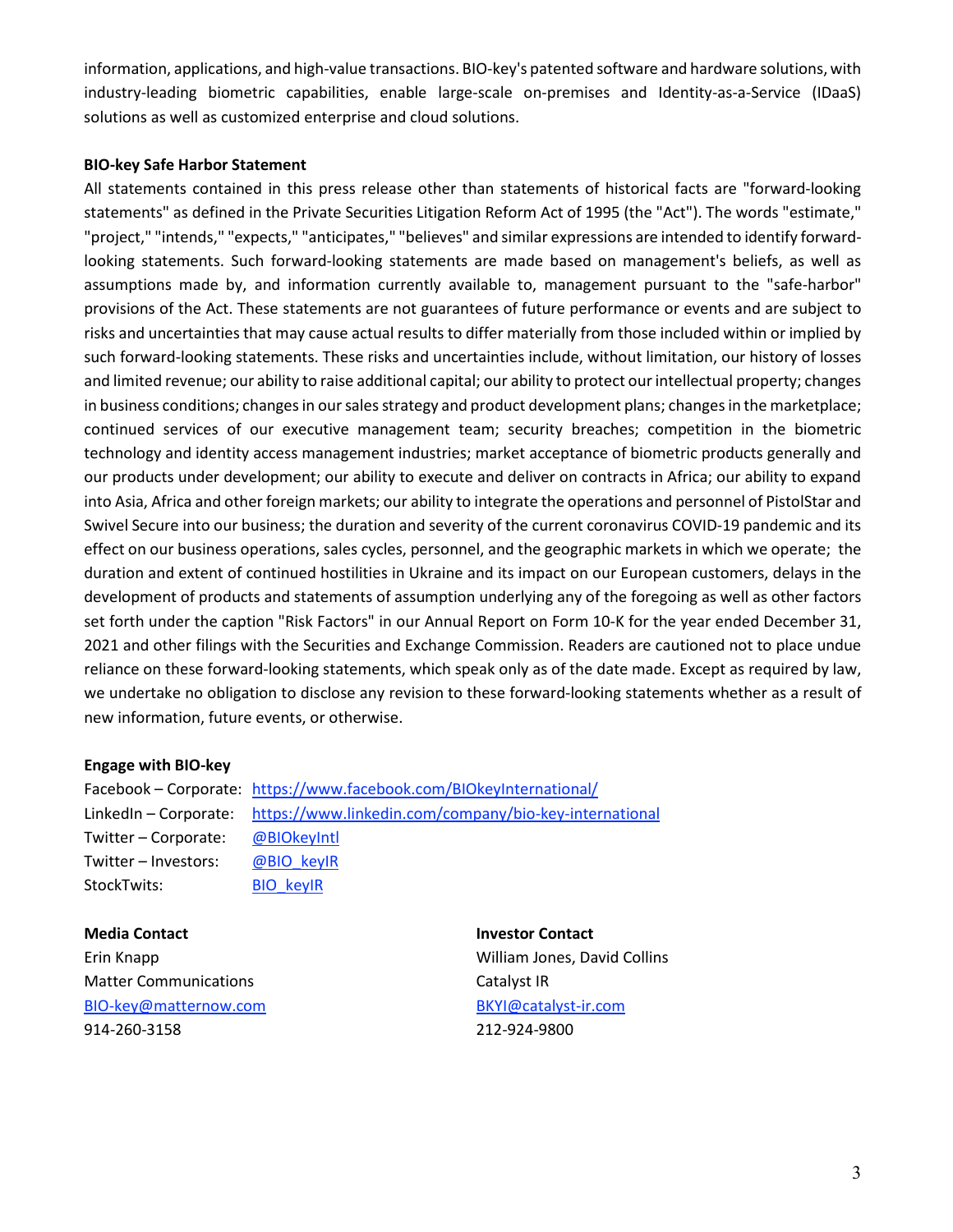information, applications, and high-value transactions. BIO-key's patented software and hardware solutions, with industry-leading biometric capabilities, enable large-scale on-premises and Identity-as-a-Service (IDaaS) solutions as well as customized enterprise and cloud solutions.

#### **BIO-key Safe Harbor Statement**

All statements contained in this press release other than statements of historical facts are "forward-looking statements" as defined in the Private Securities Litigation Reform Act of 1995 (the "Act"). The words "estimate," "project," "intends," "expects," "anticipates," "believes" and similar expressions are intended to identify forwardlooking statements. Such forward-looking statements are made based on management's beliefs, as well as assumptions made by, and information currently available to, management pursuant to the "safe-harbor" provisions of the Act. These statements are not guarantees of future performance or events and are subject to risks and uncertainties that may cause actual results to differ materially from those included within or implied by such forward-looking statements. These risks and uncertainties include, without limitation, our history of losses and limited revenue; our ability to raise additional capital; our ability to protect our intellectual property; changes in business conditions; changes in our sales strategy and product development plans; changes in the marketplace; continued services of our executive management team; security breaches; competition in the biometric technology and identity access management industries; market acceptance of biometric products generally and our products under development; our ability to execute and deliver on contracts in Africa; our ability to expand into Asia, Africa and other foreign markets; our ability to integrate the operations and personnel of PistolStar and Swivel Secure into our business; the duration and severity of the current coronavirus COVID-19 pandemic and its effect on our business operations, sales cycles, personnel, and the geographic markets in which we operate; the duration and extent of continued hostilities in Ukraine and its impact on our European customers, delays in the development of products and statements of assumption underlying any of the foregoing as well as other factors set forth under the caption "Risk Factors" in our Annual Report on Form 10-K for the year ended December 31, 2021 and other filings with the Securities and Exchange Commission. Readers are cautioned not to place undue reliance on these forward-looking statements, which speak only as of the date made. Except as required by law, we undertake no obligation to disclose any revision to these forward-looking statements whether as a result of new information, future events, or otherwise.

#### **Engage with BIO-key**

Facebook – Corporate: <https://www.facebook.com/BIOkeyInternational/> LinkedIn – Corporate: <https://www.linkedin.com/company/bio-key-international> Twitter – Corporate: [@BIOkeyIntl](https://twitter.com/BIOkeyIntl) Twitter – Investors: [@BIO\\_keyIR](https://twitter.com/BIO_keyIR) StockTwits: [BIO\\_keyIR](https://stocktwits.com/BIO_keyIR)

**Media Contact Investor Contact** Erin Knapp William Jones, David Collins Matter Communications **Catalyst IR** [BIO-key@matternow.com](mailto:bio-key@matternow.com) [BKYI@catalyst-ir.com](mailto:BKYI@catalyst-ir.com) 914-260-3158 212-924-9800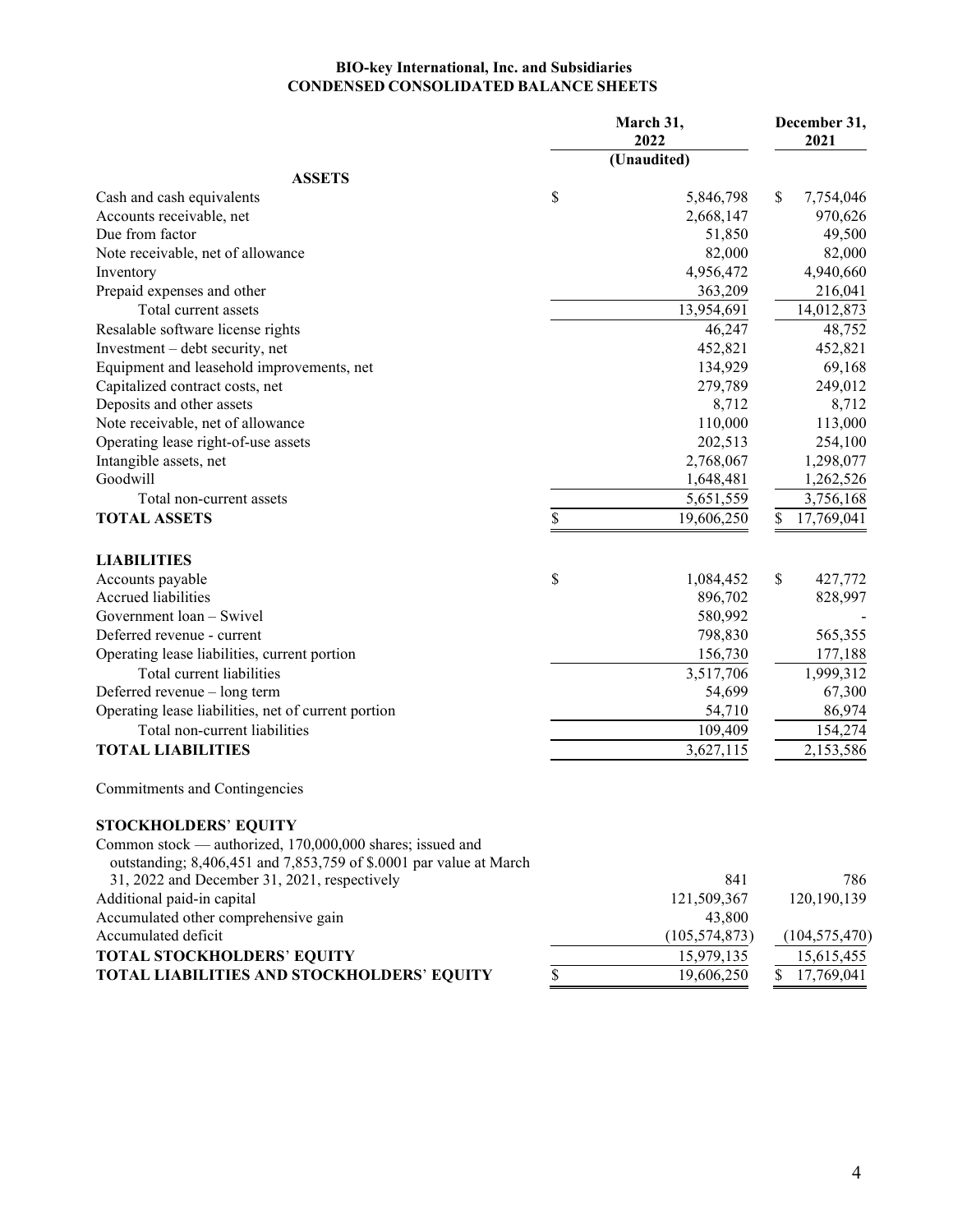#### **BIO-key International, Inc. and Subsidiaries CONDENSED CONSOLIDATED BALANCE SHEETS**

|                                                                                                                                 | March 31,<br>2022 |                 | December 31,<br>2021 |  |
|---------------------------------------------------------------------------------------------------------------------------------|-------------------|-----------------|----------------------|--|
|                                                                                                                                 |                   | (Unaudited)     |                      |  |
| <b>ASSETS</b>                                                                                                                   |                   |                 |                      |  |
| Cash and cash equivalents                                                                                                       | \$                | 5,846,798       | \$<br>7,754,046      |  |
| Accounts receivable, net                                                                                                        |                   | 2,668,147       | 970,626              |  |
| Due from factor                                                                                                                 |                   | 51,850          | 49,500               |  |
| Note receivable, net of allowance                                                                                               |                   | 82,000          | 82,000               |  |
| Inventory                                                                                                                       |                   | 4,956,472       | 4,940,660            |  |
| Prepaid expenses and other                                                                                                      |                   | 363,209         | 216,041              |  |
| Total current assets                                                                                                            |                   | 13,954,691      | 14,012,873           |  |
| Resalable software license rights                                                                                               |                   | 46,247          | 48,752               |  |
| Investment – debt security, net                                                                                                 |                   | 452,821         | 452,821              |  |
| Equipment and leasehold improvements, net                                                                                       |                   | 134,929         | 69,168               |  |
| Capitalized contract costs, net                                                                                                 |                   | 279,789         | 249,012              |  |
| Deposits and other assets                                                                                                       |                   | 8,712           | 8,712                |  |
| Note receivable, net of allowance                                                                                               |                   | 110,000         | 113,000              |  |
| Operating lease right-of-use assets                                                                                             |                   | 202,513         | 254,100              |  |
| Intangible assets, net                                                                                                          |                   | 2,768,067       | 1,298,077            |  |
| Goodwill                                                                                                                        |                   | 1,648,481       | 1,262,526            |  |
| Total non-current assets                                                                                                        |                   | 5,651,559       | 3,756,168            |  |
| <b>TOTAL ASSETS</b>                                                                                                             | \$                | 19,606,250      | 17,769,041<br>S      |  |
| <b>LIABILITIES</b>                                                                                                              |                   |                 |                      |  |
| Accounts payable                                                                                                                | \$                | 1,084,452       | \$<br>427,772        |  |
| Accrued liabilities                                                                                                             |                   | 896,702         | 828,997              |  |
| Government loan - Swivel                                                                                                        |                   | 580,992         |                      |  |
| Deferred revenue - current                                                                                                      |                   | 798,830         | 565,355              |  |
| Operating lease liabilities, current portion                                                                                    |                   | 156,730         | 177,188              |  |
| Total current liabilities                                                                                                       |                   | 3,517,706       | 1,999,312            |  |
| Deferred revenue - long term                                                                                                    |                   | 54,699          | 67,300               |  |
| Operating lease liabilities, net of current portion                                                                             |                   | 54,710          | 86,974               |  |
| Total non-current liabilities                                                                                                   |                   | 109,409         | 154,274              |  |
| <b>TOTAL LIABILITIES</b>                                                                                                        |                   | 3,627,115       | 2,153,586            |  |
| Commitments and Contingencies                                                                                                   |                   |                 |                      |  |
| <b>STOCKHOLDERS' EQUITY</b>                                                                                                     |                   |                 |                      |  |
| Common stock — authorized, 170,000,000 shares; issued and<br>outstanding; 8,406,451 and 7,853,759 of \$.0001 par value at March |                   |                 |                      |  |
| 31, 2022 and December 31, 2021, respectively                                                                                    |                   | 841             | 786                  |  |
| Additional paid-in capital                                                                                                      |                   | 121,509,367     | 120,190,139          |  |
| Accumulated other comprehensive gain                                                                                            |                   | 43,800          |                      |  |
| Accumulated deficit                                                                                                             |                   | (105, 574, 873) | (104, 575, 470)      |  |
| TOTAL STOCKHOLDERS' EQUITY                                                                                                      |                   | 15,979,135      | 15,615,455           |  |
| TOTAL LIABILITIES AND STOCKHOLDERS' EQUITY                                                                                      | \$                | 19,606,250      | 17,769,041           |  |